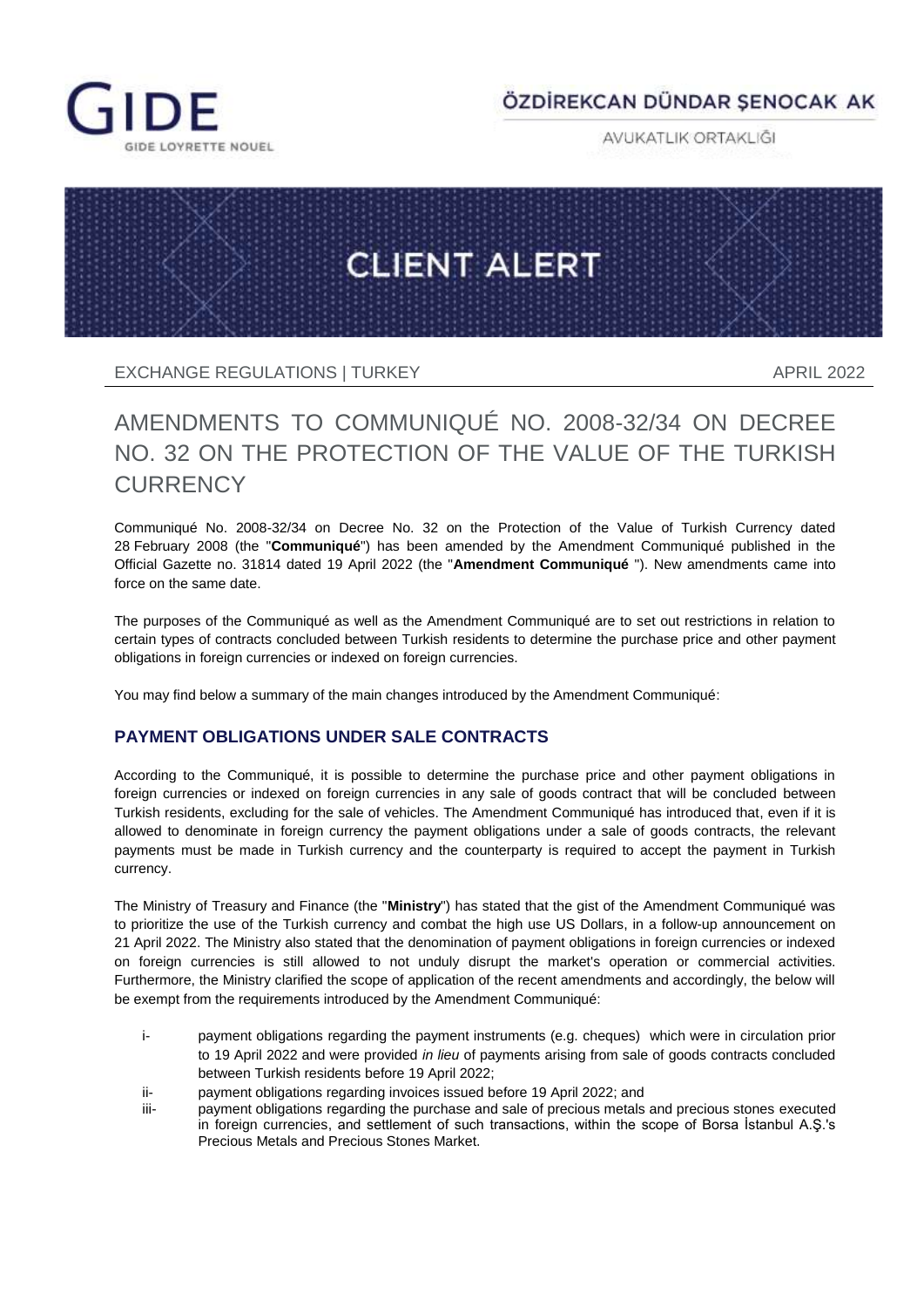

## ÖZDİREKCAN DÜNDAR SENOCAK AK

AVUKATLIK ORTAKLIĞI



EXCHANGE REGULATIONS I TURKEY APRIL 2022

# AMENDMENTS TO COMMUNIQUÉ NO. 2008-32/34 ON DECREE NO. 32 ON THE PROTECTION OF THE VALUE OF THE TURKISH **CURRENCY**

Communiqué No. 2008-32/34 on Decree No. 32 on the Protection of the Value of Turkish Currency dated 28 February 2008 (the "**Communiqué**") has been amended by the Amendment Communiqué published in the Official Gazette no. 31814 dated 19 April 2022 (the "**Amendment Communiqué** "). New amendments came into force on the same date.

The purposes of the Communiqué as well as the Amendment Communiqué are to set out restrictions in relation to certain types of contracts concluded between Turkish residents to determine the purchase price and other payment obligations in foreign currencies or indexed on foreign currencies.

You may find below a summary of the main changes introduced by the Amendment Communiqué:

### **PAYMENT OBLIGATIONS UNDER SALE CONTRACTS**

According to the Communiqué, it is possible to determine the purchase price and other payment obligations in foreign currencies or indexed on foreign currencies in any sale of goods contract that will be concluded between Turkish residents, excluding for the sale of vehicles. The Amendment Communiqué has introduced that, even if it is allowed to denominate in foreign currency the payment obligations under a sale of goods contracts, the relevant payments must be made in Turkish currency and the counterparty is required to accept the payment in Turkish currency.

The Ministry of Treasury and Finance (the "**Ministry**") has stated that the gist of the Amendment Communiqué was to prioritize the use of the Turkish currency and combat the high use US Dollars, in a follow-up announcement on 21 April 2022. The Ministry also stated that the denomination of payment obligations in foreign currencies or indexed on foreign currencies is still allowed to not unduly disrupt the market's operation or commercial activities. Furthermore, the Ministry clarified the scope of application of the recent amendments and accordingly, the below will be exempt from the requirements introduced by the Amendment Communiqué:

- i- payment obligations regarding the payment instruments (e.g. cheques) which were in circulation prior to 19 April 2022 and were provided *in lieu* of payments arising from sale of goods contracts concluded between Turkish residents before 19 April 2022;
- ii- payment obligations regarding invoices issued before 19 April 2022; and
- iii- payment obligations regarding the purchase and sale of precious metals and precious stones executed in foreign currencies, and settlement of such transactions, within the scope of Borsa İstanbul A.Ş.'s Precious Metals and Precious Stones Market.